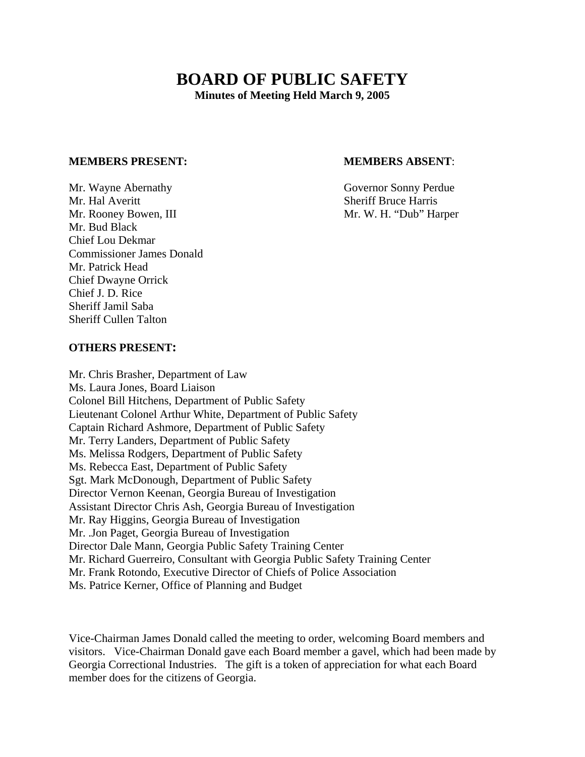# **BOARD OF PUBLIC SAFETY**

**Minutes of Meeting Held March 9, 2005** 

#### **MEMBERS PRESENT: MEMBERS ABSENT**:

Mr. Wayne Abernathy Governor Sonny Perdue Mr. Hal Averitt Sheriff Bruce Harris Mr. Rooney Bowen, III and the same state of Mr. W. H. "Dub" Harper Mr. Bud Black Chief Lou Dekmar Commissioner James Donald Mr. Patrick Head Chief Dwayne Orrick Chief J. D. Rice Sheriff Jamil Saba Sheriff Cullen Talton

#### **OTHERS PRESENT:**

Mr. Chris Brasher, Department of Law Ms. Laura Jones, Board Liaison Colonel Bill Hitchens, Department of Public Safety Lieutenant Colonel Arthur White, Department of Public Safety Captain Richard Ashmore, Department of Public Safety Mr. Terry Landers, Department of Public Safety Ms. Melissa Rodgers, Department of Public Safety Ms. Rebecca East, Department of Public Safety Sgt. Mark McDonough, Department of Public Safety Director Vernon Keenan, Georgia Bureau of Investigation Assistant Director Chris Ash, Georgia Bureau of Investigation Mr. Ray Higgins, Georgia Bureau of Investigation Mr. .Jon Paget, Georgia Bureau of Investigation Director Dale Mann, Georgia Public Safety Training Center Mr. Richard Guerreiro, Consultant with Georgia Public Safety Training Center Mr. Frank Rotondo, Executive Director of Chiefs of Police Association Ms. Patrice Kerner, Office of Planning and Budget

Vice-Chairman James Donald called the meeting to order, welcoming Board members and visitors. Vice-Chairman Donald gave each Board member a gavel, which had been made by Georgia Correctional Industries. The gift is a token of appreciation for what each Board member does for the citizens of Georgia.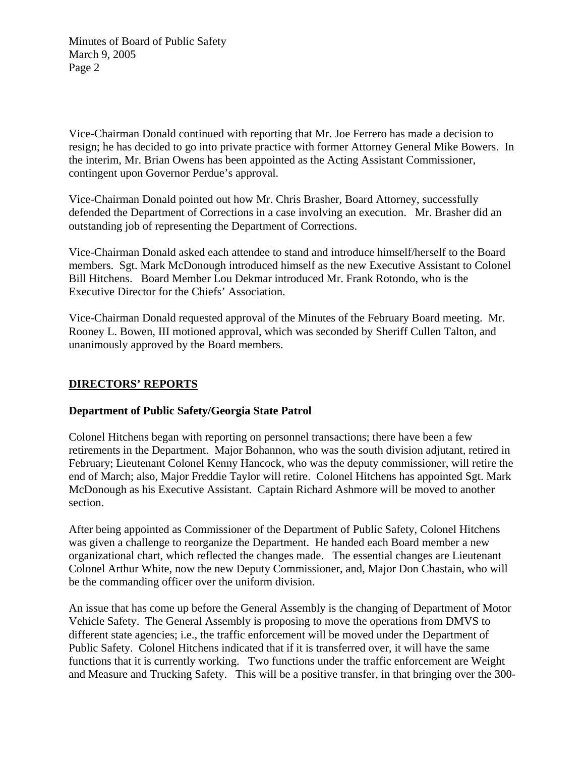Vice-Chairman Donald continued with reporting that Mr. Joe Ferrero has made a decision to resign; he has decided to go into private practice with former Attorney General Mike Bowers. In the interim, Mr. Brian Owens has been appointed as the Acting Assistant Commissioner, contingent upon Governor Perdue's approval.

Vice-Chairman Donald pointed out how Mr. Chris Brasher, Board Attorney, successfully defended the Department of Corrections in a case involving an execution. Mr. Brasher did an outstanding job of representing the Department of Corrections.

Vice-Chairman Donald asked each attendee to stand and introduce himself/herself to the Board members. Sgt. Mark McDonough introduced himself as the new Executive Assistant to Colonel Bill Hitchens. Board Member Lou Dekmar introduced Mr. Frank Rotondo, who is the Executive Director for the Chiefs' Association.

Vice-Chairman Donald requested approval of the Minutes of the February Board meeting. Mr. Rooney L. Bowen, III motioned approval, which was seconded by Sheriff Cullen Talton, and unanimously approved by the Board members.

### **DIRECTORS' REPORTS**

#### **Department of Public Safety/Georgia State Patrol**

Colonel Hitchens began with reporting on personnel transactions; there have been a few retirements in the Department. Major Bohannon, who was the south division adjutant, retired in February; Lieutenant Colonel Kenny Hancock, who was the deputy commissioner, will retire the end of March; also, Major Freddie Taylor will retire. Colonel Hitchens has appointed Sgt. Mark McDonough as his Executive Assistant. Captain Richard Ashmore will be moved to another section.

After being appointed as Commissioner of the Department of Public Safety, Colonel Hitchens was given a challenge to reorganize the Department. He handed each Board member a new organizational chart, which reflected the changes made. The essential changes are Lieutenant Colonel Arthur White, now the new Deputy Commissioner, and, Major Don Chastain, who will be the commanding officer over the uniform division.

An issue that has come up before the General Assembly is the changing of Department of Motor Vehicle Safety. The General Assembly is proposing to move the operations from DMVS to different state agencies; i.e., the traffic enforcement will be moved under the Department of Public Safety. Colonel Hitchens indicated that if it is transferred over, it will have the same functions that it is currently working. Two functions under the traffic enforcement are Weight and Measure and Trucking Safety. This will be a positive transfer, in that bringing over the 300-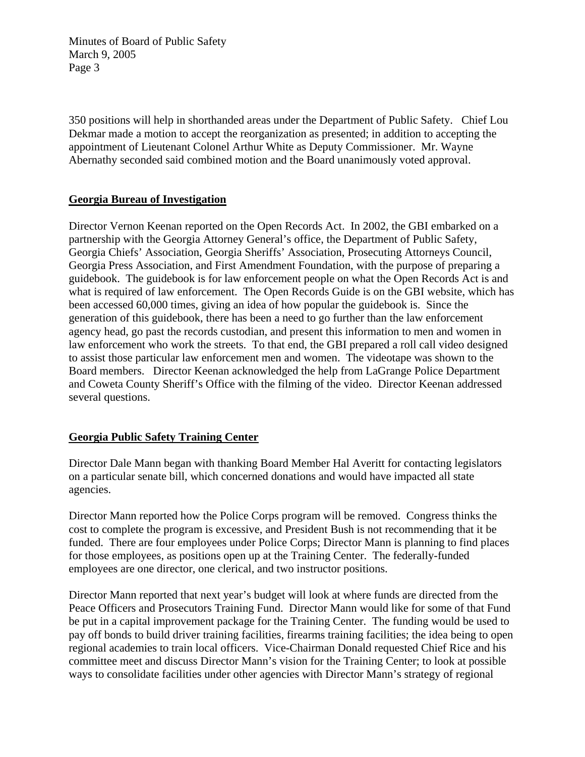350 positions will help in shorthanded areas under the Department of Public Safety. Chief Lou Dekmar made a motion to accept the reorganization as presented; in addition to accepting the appointment of Lieutenant Colonel Arthur White as Deputy Commissioner. Mr. Wayne Abernathy seconded said combined motion and the Board unanimously voted approval.

#### **Georgia Bureau of Investigation**

Director Vernon Keenan reported on the Open Records Act. In 2002, the GBI embarked on a partnership with the Georgia Attorney General's office, the Department of Public Safety, Georgia Chiefs' Association, Georgia Sheriffs' Association, Prosecuting Attorneys Council, Georgia Press Association, and First Amendment Foundation, with the purpose of preparing a guidebook. The guidebook is for law enforcement people on what the Open Records Act is and what is required of law enforcement. The Open Records Guide is on the GBI website, which has been accessed 60,000 times, giving an idea of how popular the guidebook is. Since the generation of this guidebook, there has been a need to go further than the law enforcement agency head, go past the records custodian, and present this information to men and women in law enforcement who work the streets. To that end, the GBI prepared a roll call video designed to assist those particular law enforcement men and women. The videotape was shown to the Board members. Director Keenan acknowledged the help from LaGrange Police Department and Coweta County Sheriff's Office with the filming of the video. Director Keenan addressed several questions.

#### **Georgia Public Safety Training Center**

Director Dale Mann began with thanking Board Member Hal Averitt for contacting legislators on a particular senate bill, which concerned donations and would have impacted all state agencies.

Director Mann reported how the Police Corps program will be removed. Congress thinks the cost to complete the program is excessive, and President Bush is not recommending that it be funded. There are four employees under Police Corps; Director Mann is planning to find places for those employees, as positions open up at the Training Center. The federally-funded employees are one director, one clerical, and two instructor positions.

Director Mann reported that next year's budget will look at where funds are directed from the Peace Officers and Prosecutors Training Fund. Director Mann would like for some of that Fund be put in a capital improvement package for the Training Center. The funding would be used to pay off bonds to build driver training facilities, firearms training facilities; the idea being to open regional academies to train local officers. Vice-Chairman Donald requested Chief Rice and his committee meet and discuss Director Mann's vision for the Training Center; to look at possible ways to consolidate facilities under other agencies with Director Mann's strategy of regional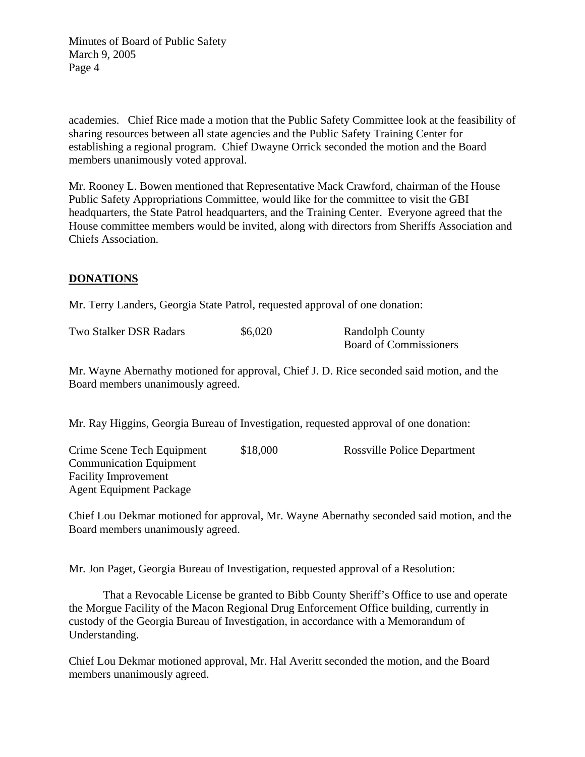academies. Chief Rice made a motion that the Public Safety Committee look at the feasibility of sharing resources between all state agencies and the Public Safety Training Center for establishing a regional program. Chief Dwayne Orrick seconded the motion and the Board members unanimously voted approval.

Mr. Rooney L. Bowen mentioned that Representative Mack Crawford, chairman of the House Public Safety Appropriations Committee, would like for the committee to visit the GBI headquarters, the State Patrol headquarters, and the Training Center. Everyone agreed that the House committee members would be invited, along with directors from Sheriffs Association and Chiefs Association.

### **DONATIONS**

Mr. Terry Landers, Georgia State Patrol, requested approval of one donation:

| <b>Two Stalker DSR Radars</b> | \$6,020 | <b>Randolph County</b>        |
|-------------------------------|---------|-------------------------------|
|                               |         | <b>Board of Commissioners</b> |

Mr. Wayne Abernathy motioned for approval, Chief J. D. Rice seconded said motion, and the Board members unanimously agreed.

Mr. Ray Higgins, Georgia Bureau of Investigation, requested approval of one donation:

Crime Scene Tech Equipment \$18,000 Rossville Police Department Communication Equipment Facility Improvement Agent Equipment Package

Chief Lou Dekmar motioned for approval, Mr. Wayne Abernathy seconded said motion, and the Board members unanimously agreed.

Mr. Jon Paget, Georgia Bureau of Investigation, requested approval of a Resolution:

 That a Revocable License be granted to Bibb County Sheriff's Office to use and operate the Morgue Facility of the Macon Regional Drug Enforcement Office building, currently in custody of the Georgia Bureau of Investigation, in accordance with a Memorandum of Understanding.

Chief Lou Dekmar motioned approval, Mr. Hal Averitt seconded the motion, and the Board members unanimously agreed.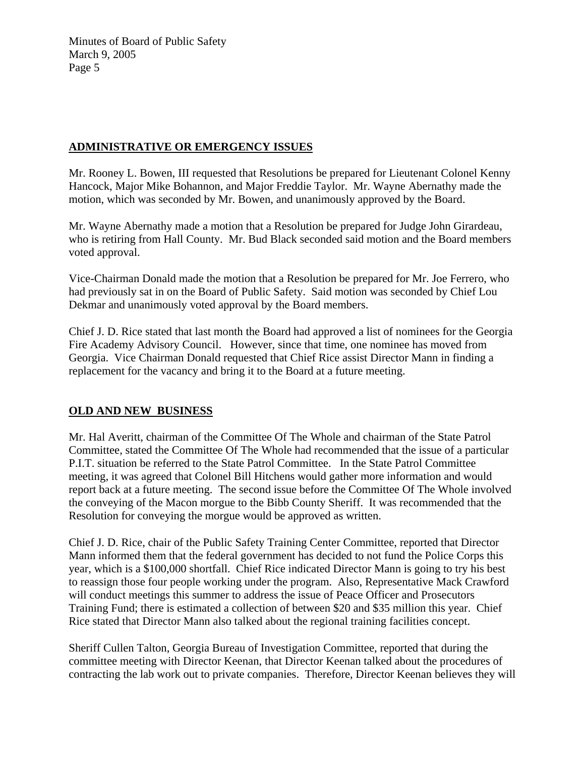## **ADMINISTRATIVE OR EMERGENCY ISSUES**

Mr. Rooney L. Bowen, III requested that Resolutions be prepared for Lieutenant Colonel Kenny Hancock, Major Mike Bohannon, and Major Freddie Taylor. Mr. Wayne Abernathy made the motion, which was seconded by Mr. Bowen, and unanimously approved by the Board.

Mr. Wayne Abernathy made a motion that a Resolution be prepared for Judge John Girardeau, who is retiring from Hall County. Mr. Bud Black seconded said motion and the Board members voted approval.

Vice-Chairman Donald made the motion that a Resolution be prepared for Mr. Joe Ferrero, who had previously sat in on the Board of Public Safety. Said motion was seconded by Chief Lou Dekmar and unanimously voted approval by the Board members.

Chief J. D. Rice stated that last month the Board had approved a list of nominees for the Georgia Fire Academy Advisory Council. However, since that time, one nominee has moved from Georgia. Vice Chairman Donald requested that Chief Rice assist Director Mann in finding a replacement for the vacancy and bring it to the Board at a future meeting.

# **OLD AND NEW BUSINESS**

Mr. Hal Averitt, chairman of the Committee Of The Whole and chairman of the State Patrol Committee, stated the Committee Of The Whole had recommended that the issue of a particular P.I.T. situation be referred to the State Patrol Committee. In the State Patrol Committee meeting, it was agreed that Colonel Bill Hitchens would gather more information and would report back at a future meeting. The second issue before the Committee Of The Whole involved the conveying of the Macon morgue to the Bibb County Sheriff. It was recommended that the Resolution for conveying the morgue would be approved as written.

Chief J. D. Rice, chair of the Public Safety Training Center Committee, reported that Director Mann informed them that the federal government has decided to not fund the Police Corps this year, which is a \$100,000 shortfall. Chief Rice indicated Director Mann is going to try his best to reassign those four people working under the program. Also, Representative Mack Crawford will conduct meetings this summer to address the issue of Peace Officer and Prosecutors Training Fund; there is estimated a collection of between \$20 and \$35 million this year. Chief Rice stated that Director Mann also talked about the regional training facilities concept.

Sheriff Cullen Talton, Georgia Bureau of Investigation Committee, reported that during the committee meeting with Director Keenan, that Director Keenan talked about the procedures of contracting the lab work out to private companies. Therefore, Director Keenan believes they will